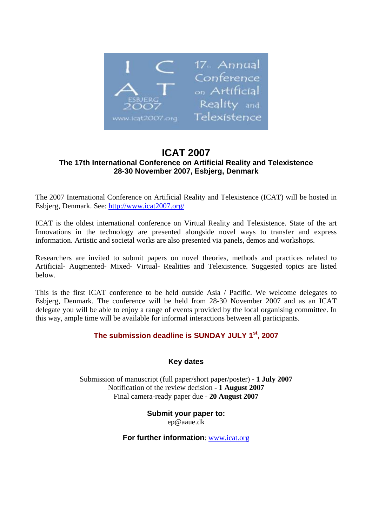

# **ICAT 2007 The 17th International Conference on Artificial Reality and Telexistence 28-30 November 2007, Esbjerg, Denmark**

The 2007 International Conference on Artificial Reality and Telexistence (ICAT) will be hosted in Esbjerg, Denmark. See: http://www.icat2007.org/

ICAT is the oldest international conference on Virtual Reality and Telexistence. State of the art Innovations in the technology are presented alongside novel ways to transfer and express information. Artistic and societal works are also presented via panels, demos and workshops.

Researchers are invited to submit papers on novel theories, methods and practices related to Artificial- Augmented- Mixed- Virtual- Realities and Telexistence. Suggested topics are listed below.

This is the first ICAT conference to be held outside Asia / Pacific. We welcome delegates to Esbjerg, Denmark. The conference will be held from 28-30 November 2007 and as an ICAT delegate you will be able to enjoy a range of events provided by the local organising committee. In this way, ample time will be available for informal interactions between all participants.

## **The submission deadline is SUNDAY JULY 1st, 2007**

### **Key dates**

Submission of manuscript (full paper/short paper/poster) - **1 July 2007**  Notification of the review decision - **1 August 2007**  Final camera-ready paper due - **20 August 2007** 

> **Submit your paper to:**  ep@aaue.dk

**For further information**: www.icat.org